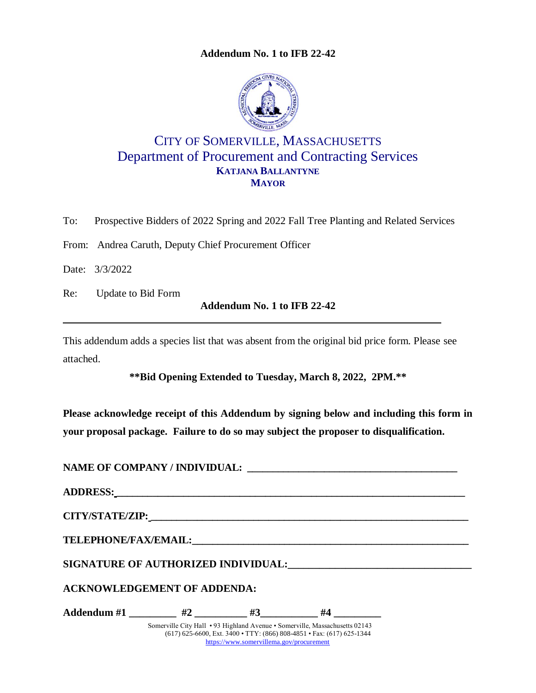**Addendum No. 1 to IFB 22-42**



# CITY OF SOMERVILLE, MASSACHUSETTS Department of Procurement and Contracting Services **KATJANA BALLANTYNE MAYOR**

To: Prospective Bidders of 2022 Spring and 2022 Fall Tree Planting and Related Services

From: Andrea Caruth, Deputy Chief Procurement Officer

Date: 3/3/2022

Re: Update to Bid Form

**Addendum No. 1 to IFB 22-42**

This addendum adds a species list that was absent from the original bid price form. Please see attached.

**\*\*Bid Opening Extended to Tuesday, March 8, 2022, 2PM.\*\***

**Please acknowledge receipt of this Addendum by signing below and including this form in your proposal package. Failure to do so may subject the proposer to disqualification.**

| <b>ACKNOWLEDGEMENT OF ADDENDA:</b> |                                          |                                                                                                                                                      |  |
|------------------------------------|------------------------------------------|------------------------------------------------------------------------------------------------------------------------------------------------------|--|
| Addendum #1 $\#2$ #3 $\#4$         |                                          |                                                                                                                                                      |  |
|                                    | https://www.somervillema.gov/procurement | Somerville City Hall • 93 Highland Avenue • Somerville, Massachusetts 02143<br>(617) 625-6600, Ext. 3400 • TTY: (866) 808-4851 • Fax: (617) 625-1344 |  |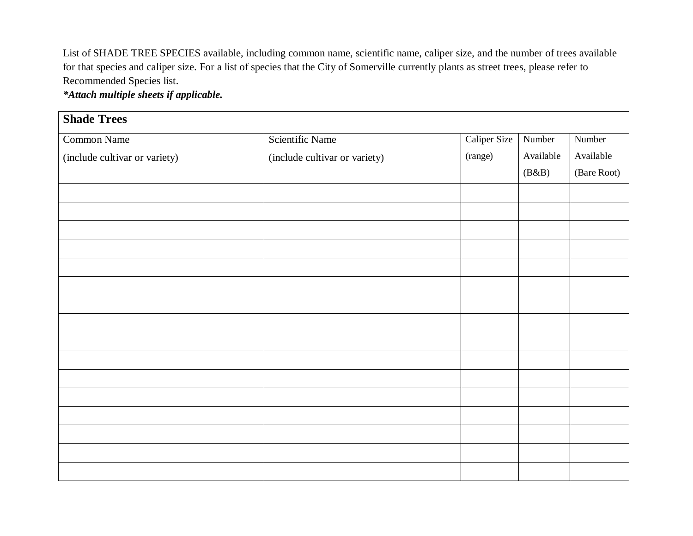List of SHADE TREE SPECIES available, including common name, scientific name, caliper size, and the number of trees available for that species and caliper size. For a list of species that the City of Somerville currently plants as street trees, please refer to Recommended Species list.

*\*Attach multiple sheets if applicable.*

| <b>Shade Trees</b>            |                               |              |           |             |  |  |  |  |
|-------------------------------|-------------------------------|--------------|-----------|-------------|--|--|--|--|
| <b>Common Name</b>            | <b>Scientific Name</b>        | Caliper Size | Number    | Number      |  |  |  |  |
| (include cultivar or variety) | (include cultivar or variety) | (range)      | Available | Available   |  |  |  |  |
|                               |                               |              | (B&B)     | (Bare Root) |  |  |  |  |
|                               |                               |              |           |             |  |  |  |  |
|                               |                               |              |           |             |  |  |  |  |
|                               |                               |              |           |             |  |  |  |  |
|                               |                               |              |           |             |  |  |  |  |
|                               |                               |              |           |             |  |  |  |  |
|                               |                               |              |           |             |  |  |  |  |
|                               |                               |              |           |             |  |  |  |  |
|                               |                               |              |           |             |  |  |  |  |
|                               |                               |              |           |             |  |  |  |  |
|                               |                               |              |           |             |  |  |  |  |
|                               |                               |              |           |             |  |  |  |  |
|                               |                               |              |           |             |  |  |  |  |
|                               |                               |              |           |             |  |  |  |  |
|                               |                               |              |           |             |  |  |  |  |
|                               |                               |              |           |             |  |  |  |  |
|                               |                               |              |           |             |  |  |  |  |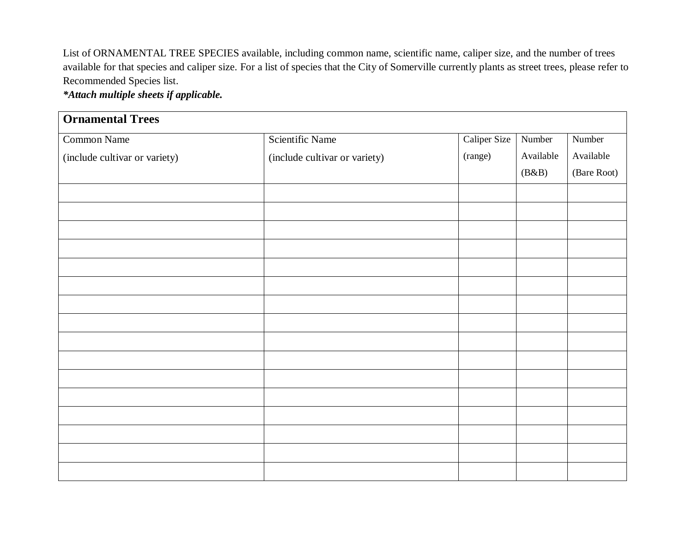List of ORNAMENTAL TREE SPECIES available, including common name, scientific name, caliper size, and the number of trees available for that species and caliper size. For a list of species that the City of Somerville currently plants as street trees, please refer to Recommended Species list.

*\*Attach multiple sheets if applicable.*

| <b>Ornamental Trees</b>       |                               |              |           |             |  |  |  |  |
|-------------------------------|-------------------------------|--------------|-----------|-------------|--|--|--|--|
| <b>Common Name</b>            | <b>Scientific Name</b>        | Caliper Size | Number    | Number      |  |  |  |  |
| (include cultivar or variety) | (include cultivar or variety) | (range)      | Available | Available   |  |  |  |  |
|                               |                               |              | (B&B)     | (Bare Root) |  |  |  |  |
|                               |                               |              |           |             |  |  |  |  |
|                               |                               |              |           |             |  |  |  |  |
|                               |                               |              |           |             |  |  |  |  |
|                               |                               |              |           |             |  |  |  |  |
|                               |                               |              |           |             |  |  |  |  |
|                               |                               |              |           |             |  |  |  |  |
|                               |                               |              |           |             |  |  |  |  |
|                               |                               |              |           |             |  |  |  |  |
|                               |                               |              |           |             |  |  |  |  |
|                               |                               |              |           |             |  |  |  |  |
|                               |                               |              |           |             |  |  |  |  |
|                               |                               |              |           |             |  |  |  |  |
|                               |                               |              |           |             |  |  |  |  |
|                               |                               |              |           |             |  |  |  |  |
|                               |                               |              |           |             |  |  |  |  |
|                               |                               |              |           |             |  |  |  |  |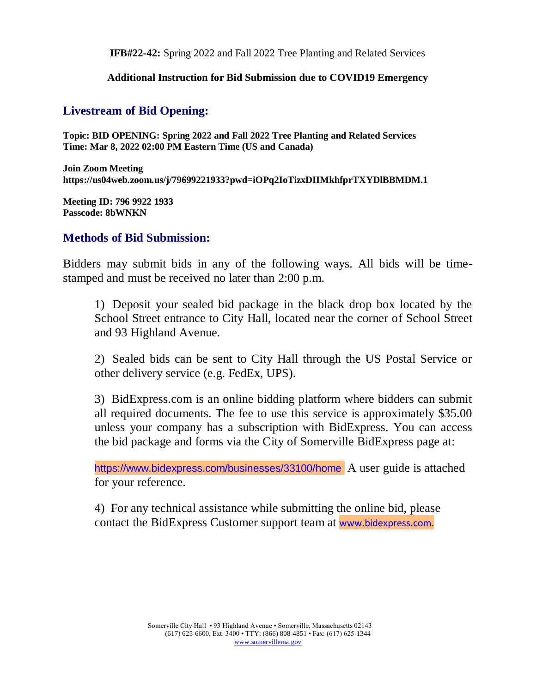**IFB#22-42:** Spring 2022 and Fall 2022 Tree Planting and Related Services

#### **Additional Instruction for Bid Submission due to COVID19 Emergency**

# **Livestream of Bid Opening:**

**Topic: BID OPENING: Spring 2022 and Fall 2022 Tree Planting and Related Services Time: Mar 8, 2022 02:00 PM Eastern Time (US and Canada)**

**Join Zoom Meeting https://us04web.zoom.us/j/79699221933?pwd=iOPq2IoTizxDIIMkhfprTXYDlBBMDM.1**

**Meeting ID: 796 9922 1933 Passcode: 8bWNKN**

## **Methods of Bid Submission:**

Bidders may submit bids in any of the following ways. All bids will be timestamped and must be received no later than 2:00 p.m.

1) Deposit your sealed bid package in the black drop box located by the School Street entrance to City Hall, located near the corner of School Street and 93 Highland Avenue.

2) Sealed bids can be sent to City Hall through the US Postal Service or other delivery service (e.g. FedEx, UPS).

3) BidExpress.com is an online bidding platform where bidders can submit all required documents. The fee to use this service is approximately \$35.00 unless your company has a subscription with BidExpress. You can access the bid package and forms via the City of Somerville BidExpress page at:

https://www.bidexpress.com/businesses/33100/home A user guide is attached for your reference.

4) For any technical assistance while submitting the online bid, please contact the BidExpress Customer support team at www.bidexpress.com.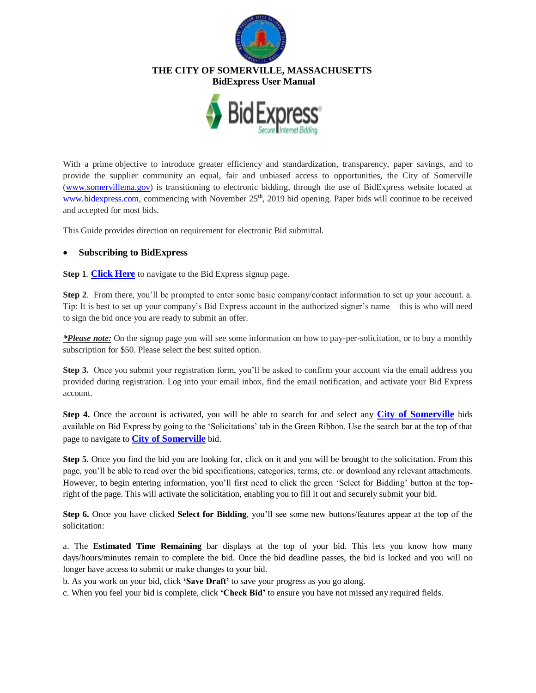

### **THE CITY OF SOMERVILLE, MASSACHUSETTS**

 **BidExpress User Manual**



With a prime objective to introduce greater efficiency and standardization, transparency, paper savings, and to provide the supplier community an equal, fair and unbiased access to opportunities, the City of Somerville [\(www.somervillema.gov\)](http://www.somervillema.gov/) is transitioning to electronic bidding, through the use of BidExpress website located at [www.bidexpress.com,](http://www.bidexpress.com/) commencing with November 25<sup>th</sup>, 2019 bid opening. Paper bids will continue to be received and accepted for most bids.

This Guide provides direction on requirement for electronic Bid submittal.

#### **Subscribing to BidExpress**

**Step 1**. **[Click Here](https://www.infotechexpress.com/registration/new?app_id=08b3d1713188df08d8970b79c2d30ea5628af16e53abe624a239557b2dcf3429&return_to=https%3A%2F%2Fwww.bidexpress.com)** to navigate to the Bid Express signup page.

**Step 2**. From there, you'll be prompted to enter some basic company/contact information to set up your account. a. Tip: It is best to set up your company's Bid Express account in the authorized signer's name – this is who will need to sign the bid once you are ready to submit an offer.

*\*Please note:* On the signup page you will see some information on how to pay-per-solicitation, or to buy a monthly subscription for \$50. Please select the best suited option.

**Step 3.** Once you submit your registration form, you'll be asked to confirm your account via the email address you provided during registration. Log into your email inbox, find the email notification, and activate your Bid Express account.

**Step 4.** Once the account is activated, you will be able to search for and select any **[City of Somerville](https://www.bidexpress.com/businesses/33100/home)** bids available on Bid Express by going to the 'Solicitations' tab in the Green Ribbon. Use the search bar at the top of that page to navigate to **[City of Somerville](https://www.bidexpress.com/businesses/33100/home)** bid.

**Step 5**. Once you find the bid you are looking for, click on it and you will be brought to the solicitation. From this page, you'll be able to read over the bid specifications, categories, terms, etc. or download any relevant attachments. However, to begin entering information, you'll first need to click the green 'Select for Bidding' button at the topright of the page. This will activate the solicitation, enabling you to fill it out and securely submit your bid.

**Step 6.** Once you have clicked **Select for Bidding**, you'll see some new buttons/features appear at the top of the solicitation:

a. The **Estimated Time Remaining** bar displays at the top of your bid. This lets you know how many days/hours/minutes remain to complete the bid. Once the bid deadline passes, the bid is locked and you will no longer have access to submit or make changes to your bid.

b. As you work on your bid, click **'Save Draft'** to save your progress as you go along.

c. When you feel your bid is complete, click **'Check Bid'** to ensure you have not missed any required fields.